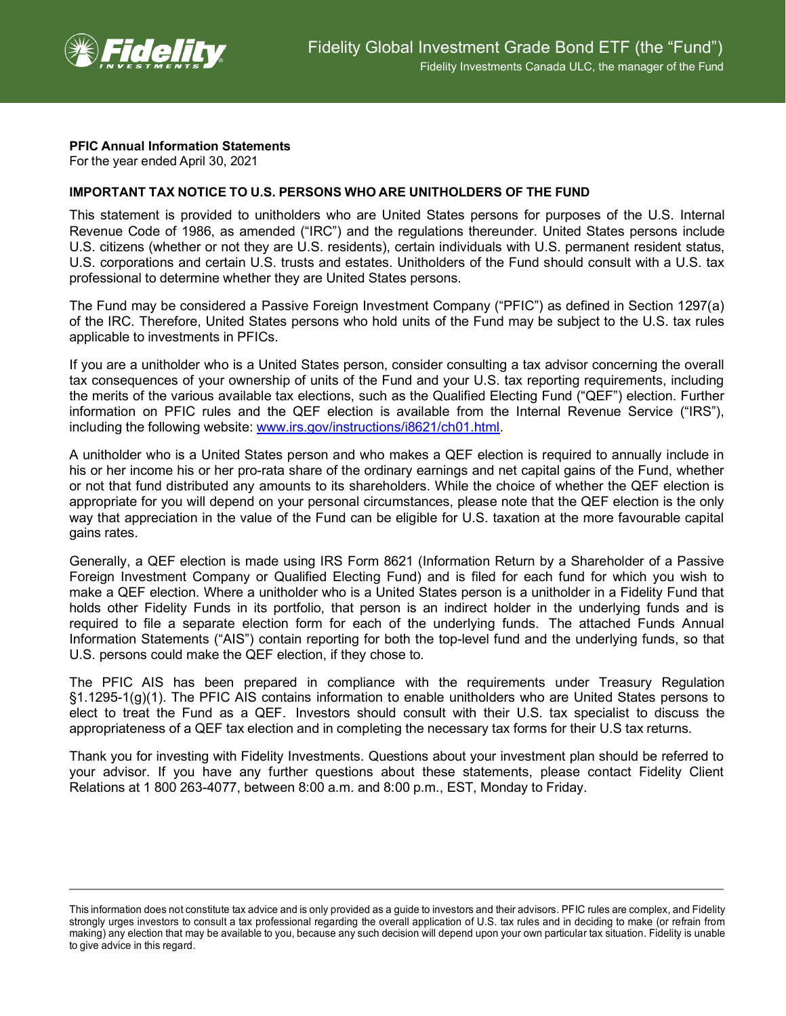

## **PFIC Annual Information Statements**

For the year ended April 30, 2021

## **IMPORTANT TAX NOTICE TO U.S. PERSONS WHO ARE UNITHOLDERS OF THE FUND**

This statement is provided to unitholders who are United States persons for purposes of the U.S. Internal Revenue Code of 1986, as amended ("IRC") and the regulations thereunder. United States persons include U.S. citizens (whether or not they are U.S. residents), certain individuals with U.S. permanent resident status, U.S. corporations and certain U.S. trusts and estates. Unitholders of the Fund should consult with a U.S. tax professional to determine whether they are United States persons.

The Fund may be considered a Passive Foreign Investment Company ("PFIC") as defined in Section 1297(a) of the IRC. Therefore, United States persons who hold units of the Fund may be subject to the U.S. tax rules applicable to investments in PFICs.

If you are a unitholder who is a United States person, consider consulting a tax advisor concerning the overall tax consequences of your ownership of units of the Fund and your U.S. tax reporting requirements, including the merits of the various available tax elections, such as the Qualified Electing Fund ("QEF") election. Further information on PFIC rules and the QEF election is available from the Internal Revenue Service ("IRS"), including the following website: [www.irs.gov/instructions/i8621/ch01.html.](http://www.irs.gov/instructions/i8621/ch01.html)

A unitholder who is a United States person and who makes a QEF election is required to annually include in his or her income his or her pro-rata share of the ordinary earnings and net capital gains of the Fund, whether or not that fund distributed any amounts to its shareholders. While the choice of whether the QEF election is appropriate for you will depend on your personal circumstances, please note that the QEF election is the only way that appreciation in the value of the Fund can be eligible for U.S. taxation at the more favourable capital gains rates.

Generally, a QEF election is made using IRS Form 8621 (Information Return by a Shareholder of a Passive Foreign Investment Company or Qualified Electing Fund) and is filed for each fund for which you wish to make a QEF election. Where a unitholder who is a United States person is a unitholder in a Fidelity Fund that holds other Fidelity Funds in its portfolio, that person is an indirect holder in the underlying funds and is required to file a separate election form for each of the underlying funds. The attached Funds Annual Information Statements ("AIS") contain reporting for both the top-level fund and the underlying funds, so that U.S. persons could make the QEF election, if they chose to.

The PFIC AIS has been prepared in compliance with the requirements under Treasury Regulation §1.1295-1(g)(1). The PFIC AIS contains information to enable unitholders who are United States persons to elect to treat the Fund as a QEF. Investors should consult with their U.S. tax specialist to discuss the appropriateness of a QEF tax election and in completing the necessary tax forms for their U.S tax returns.

Thank you for investing with Fidelity Investments. Questions about your investment plan should be referred to your advisor. If you have any further questions about these statements, please contact Fidelity Client Relations at 1 800 263-4077, between 8:00 a.m. and 8:00 p.m., EST, Monday to Friday.

This information does not constitute tax advice and is only provided as a guide to investors and their advisors. PFIC rules are complex, and Fidelity strongly urges investors to consult a tax professional regarding the overall application of U.S. tax rules and in deciding to make (or refrain from making) any election that may be available to you, because any such decision will depend upon your own particular tax situation. Fidelity is unable to give advice in this regard.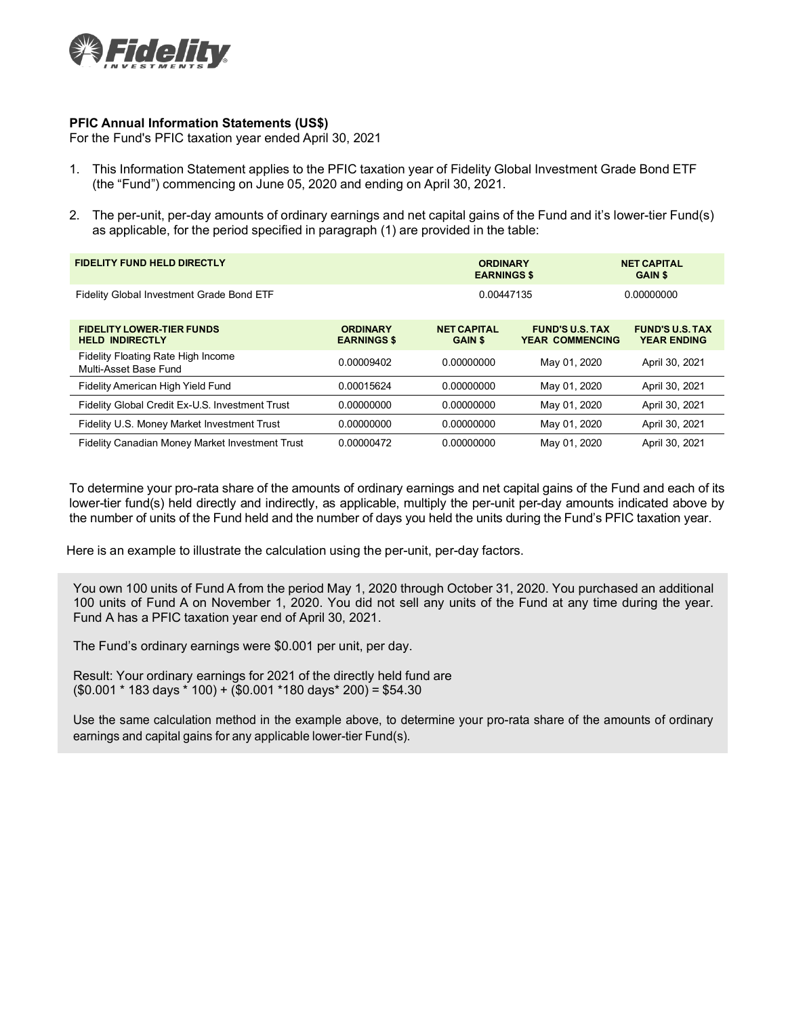

## **PFIC Annual Information Statements (US\$)**

For the Fund's PFIC taxation year ended April 30, 2021

- 1. This Information Statement applies to the PFIC taxation year of Fidelity Global Investment Grade Bond ETF (the "Fund") commencing on June 05, 2020 and ending on April 30, 2021.
- 2. The per-unit, per-day amounts of ordinary earnings and net capital gains of the Fund and it's lower-tier Fund(s) as applicable, for the period specified in paragraph (1) are provided in the table:

| <b>FIDELITY FUND HELD DIRECTLY</b>                          |                                       | <b>ORDINARY</b><br><b>EARNINGS \$</b> |                                                  | <b>NET CAPITAL</b><br><b>GAIN \$</b>         |
|-------------------------------------------------------------|---------------------------------------|---------------------------------------|--------------------------------------------------|----------------------------------------------|
| Fidelity Global Investment Grade Bond ETF                   |                                       | 0.00447135                            |                                                  | 0.00000000                                   |
| <b>FIDELITY LOWER-TIER FUNDS</b><br><b>HELD INDIRECTLY</b>  | <b>ORDINARY</b><br><b>EARNINGS \$</b> | <b>NET CAPITAL</b><br><b>GAIN \$</b>  | <b>FUND'S U.S. TAX</b><br><b>YEAR COMMENCING</b> | <b>FUND'S U.S. TAX</b><br><b>YEAR ENDING</b> |
| Fidelity Floating Rate High Income<br>Multi-Asset Base Fund | 0.00009402                            | 0.00000000                            | May 01, 2020                                     | April 30, 2021                               |
| Fidelity American High Yield Fund                           | 0.00015624                            | 0.00000000                            | May 01, 2020                                     | April 30, 2021                               |
| Fidelity Global Credit Ex-U.S. Investment Trust             | 0.00000000                            | 0.00000000                            | May 01, 2020                                     | April 30, 2021                               |
| Fidelity U.S. Money Market Investment Trust                 | 0.00000000                            | 0.00000000                            | May 01, 2020                                     | April 30, 2021                               |
| Fidelity Canadian Money Market Investment Trust             | 0.00000472                            | 0.00000000                            | May 01, 2020                                     | April 30, 2021                               |

To determine your pro-rata share of the amounts of ordinary earnings and net capital gains of the Fund and each of its lower-tier fund(s) held directly and indirectly, as applicable, multiply the per-unit per-day amounts indicated above by the number of units of the Fund held and the number of days you held the units during the Fund's PFIC taxation year.

Here is an example to illustrate the calculation using the per-unit, per-day factors.

You own 100 units of Fund A from the period May 1, 2020 through October 31, 2020. You purchased an additional 100 units of Fund A on November 1, 2020. You did not sell any units of the Fund at any time during the year. Fund A has a PFIC taxation year end of April 30, 2021.

The Fund's ordinary earnings were \$0.001 per unit, per day.

Result: Your ordinary earnings for 2021 of the directly held fund are (\$0.001 \* 183 days \* 100) + (\$0.001 \*180 days\* 200) = \$54.30

Use the same calculation method in the example above, to determine your pro-rata share of the amounts of ordinary earnings and capital gains for any applicable lower-tier Fund(s).